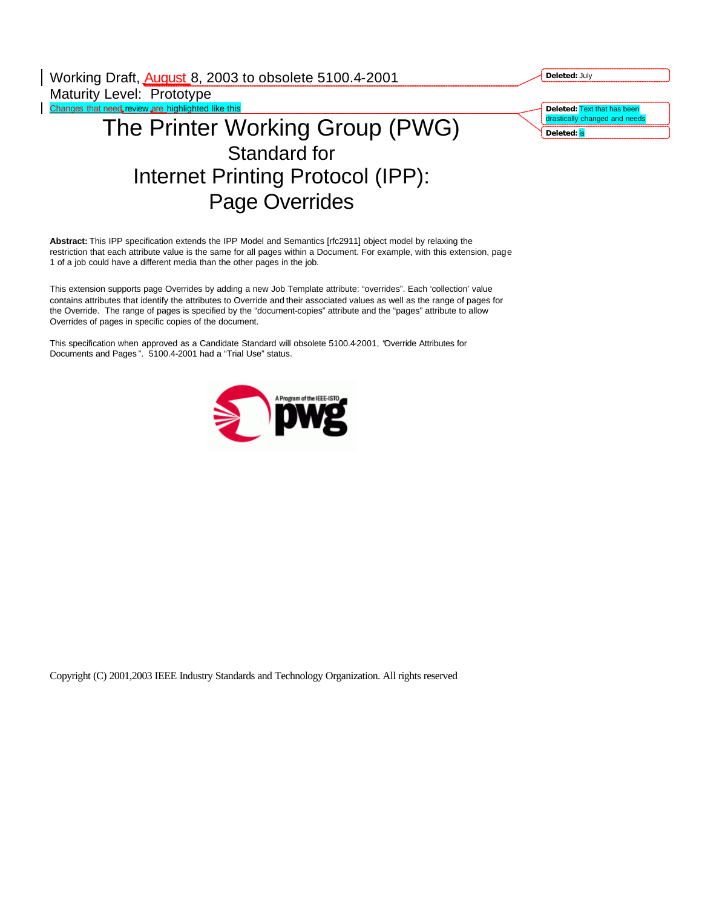| Working Draft, August 8, 2003 to obsolete 5100.4-2001 | Deleted: July                 |
|-------------------------------------------------------|-------------------------------|
| Maturity Level: Prototype                             |                               |
| Changes that need review are highlighted like this    | Deleted: Text that has been   |
| The Printer Working Group (PWG)                       | drastically changed and needs |
|                                                       | Deleted: is                   |
| Standard for                                          |                               |
| Internet Printing Protocol (IPP):                     |                               |
| <b>Page Overrides</b>                                 |                               |

**Abstract:** This IPP specification extends the IPP Model and Semantics [rfc2911] object model by relaxing the restriction that each attribute value is the same for all pages within a Document. For example, with this extension, page 1 of a job could have a different media than the other pages in the job.

This extension supports page Overrides by adding a new Job Template attribute: "overrides". Each 'collection' value contains attributes that identify the attributes to Override and their associated values as well as the range of pages for the Override. The range of pages is specified by the "document-copies" attribute and the "pages" attribute to allow Overrides of pages in specific copies of the document.

This specification when approved as a Candidate Standard will obsolete 5100.4-2001, "Override Attributes for Documents and Pages ". 5100.4-2001 had a "Trial Use" status.

 $\overline{\phantom{a}}$ 



Copyright (C) 2001,2003 IEEE Industry Standards and Technology Organization. All rights reserved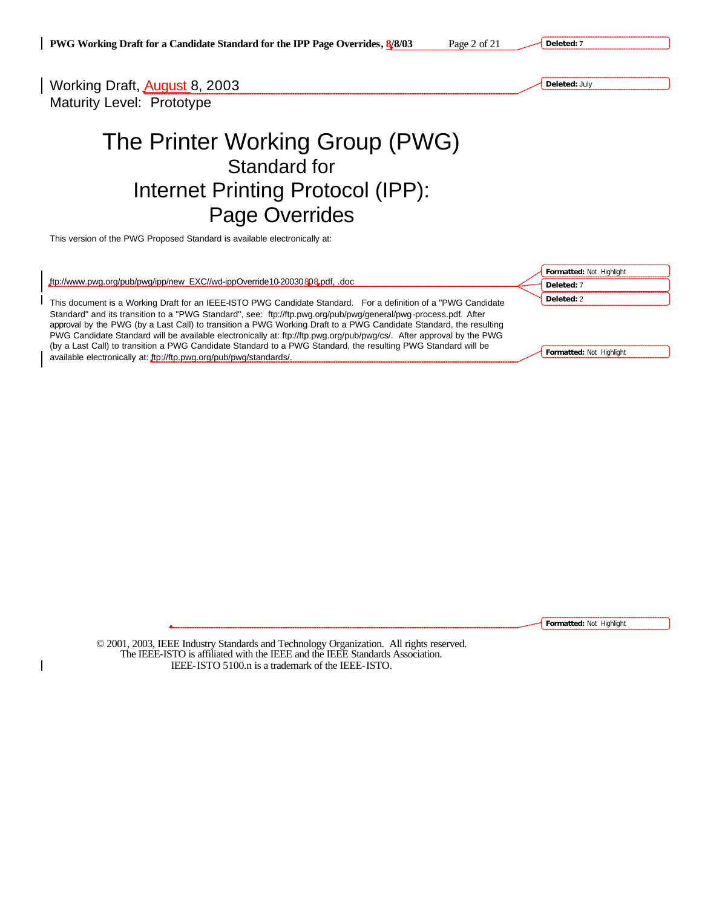**Deleted: 7**



**Formatted:** Not Highlight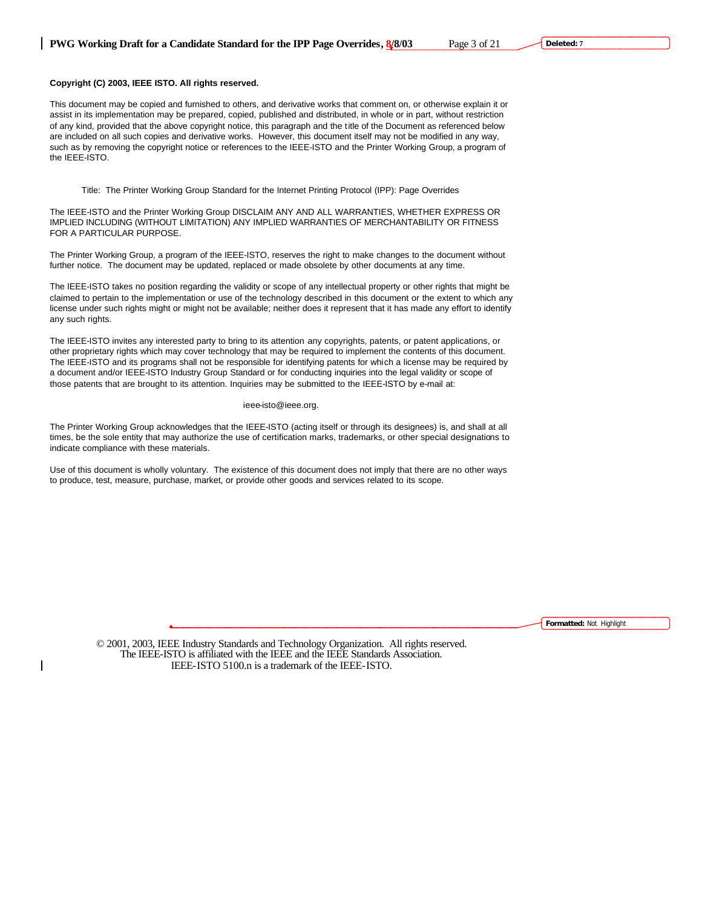# **Copyright (C) 2003, IEEE ISTO. All rights reserved.**

This document may be copied and furnished to others, and derivative works that comment on, or otherwise explain it or assist in its implementation may be prepared, copied, published and distributed, in whole or in part, without restriction of any kind, provided that the above copyright notice, this paragraph and the title of the Document as referenced below are included on all such copies and derivative works. However, this document itself may not be modified in any way, such as by removing the copyright notice or references to the IEEE-ISTO and the Printer Working Group, a program of the IEEE-ISTO.

Title: The Printer Working Group Standard for the Internet Printing Protocol (IPP): Page Overrides

The IEEE-ISTO and the Printer Working Group DISCLAIM ANY AND ALL WARRANTIES, WHETHER EXPRESS OR IMPLIED INCLUDING (WITHOUT LIMITATION) ANY IMPLIED WARRANTIES OF MERCHANTABILITY OR FITNESS FOR A PARTICULAR PURPOSE.

The Printer Working Group, a program of the IEEE-ISTO, reserves the right to make changes to the document without further notice. The document may be updated, replaced or made obsolete by other documents at any time.

The IEEE-ISTO takes no position regarding the validity or scope of any intellectual property or other rights that might be claimed to pertain to the implementation or use of the technology described in this document or the extent to which any license under such rights might or might not be available; neither does it represent that it has made any effort to identify any such rights.

The IEEE-ISTO invites any interested party to bring to its attention any copyrights, patents, or patent applications, or other proprietary rights which may cover technology that may be required to implement the contents of this document. The IEEE-ISTO and its programs shall not be responsible for identifying patents for which a license may be required by a document and/or IEEE-ISTO Industry Group Standard or for conducting inquiries into the legal validity or scope of those patents that are brought to its attention. Inquiries may be submitted to the IEEE-ISTO by e-mail at:

### ieee-isto@ieee.org.

The Printer Working Group acknowledges that the IEEE-ISTO (acting itself or through its designees) is, and shall at all times, be the sole entity that may authorize the use of certification marks, trademarks, or other special designations to indicate compliance with these materials.

Use of this document is wholly voluntary. The existence of this document does not imply that there are no other ways to produce, test, measure, purchase, market, or provide other goods and services related to its scope.

**Formatted:** Not Highlight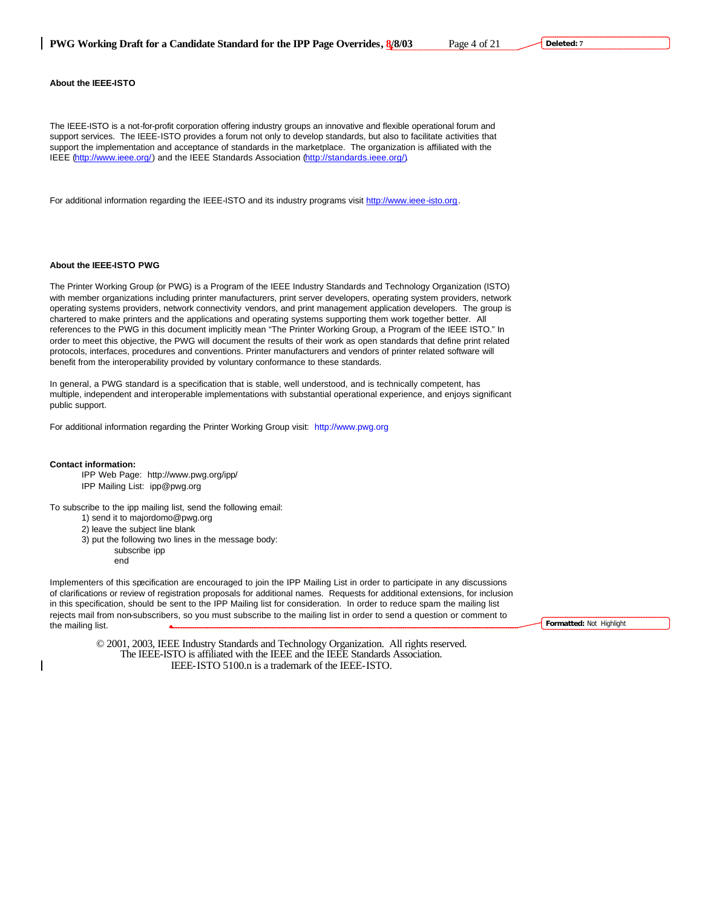The IEEE-ISTO is a not-for-profit corporation offering industry groups an innovative and flexible operational forum and support services. The IEEE-ISTO provides a forum not only to develop standards, but also to facilitate activities that support the implementation and acceptance of standards in the marketplace. The organization is affiliated with the IEEE (http://www.ieee.org/) and the IEEE Standards Association (http://standards.ieee.org/).

For additional information regarding the IEEE-ISTO and its industry programs visit http://www.ieee-isto.org.

## **About the IEEE-ISTO PWG**

The Printer Working Group (or PWG) is a Program of the IEEE Industry Standards and Technology Organization (ISTO) with member organizations including printer manufacturers, print server developers, operating system providers, network operating systems providers, network connectivity vendors, and print management application developers. The group is chartered to make printers and the applications and operating systems supporting them work together better. All references to the PWG in this document implicitly mean "The Printer Working Group, a Program of the IEEE ISTO." In order to meet this objective, the PWG will document the results of their work as open standards that define print related protocols, interfaces, procedures and conventions. Printer manufacturers and vendors of printer related software will benefit from the interoperability provided by voluntary conformance to these standards.

In general, a PWG standard is a specification that is stable, well understood, and is technically competent, has multiple, independent and interoperable implementations with substantial operational experience, and enjoys significant public support.

For additional information regarding the Printer Working Group visit: http://www.pwg.org

#### **Contact information:**

IPP Web Page: http://www.pwg.org/ipp/ IPP Mailing List: ipp@pwg.org

To subscribe to the ipp mailing list, send the following email:

1) send it to majordomo@pwg.org

2) leave the subject line blank

3) put the following two lines in the message body:

subscribe ipp end

Implementers of this specification are encouraged to join the IPP Mailing List in order to participate in any discussions of clarifications or review of registration proposals for additional names. Requests for additional extensions, for inclusion in this specification, should be sent to the IPP Mailing list for consideration. In order to reduce spam the mailing list rejects mail from non-subscribers, so you must subscribe to the mailing list in order to send a question or comment to the mailing list.

© 2001, 2003, IEEE Industry Standards and Technology Organization. All rights reserved. The IEEE-ISTO is affiliated with the IEEE and the IEEE Standards Association. IEEE-ISTO 5100.n is a trademark of the IEEE-ISTO.

**Formatted:** Not Highlight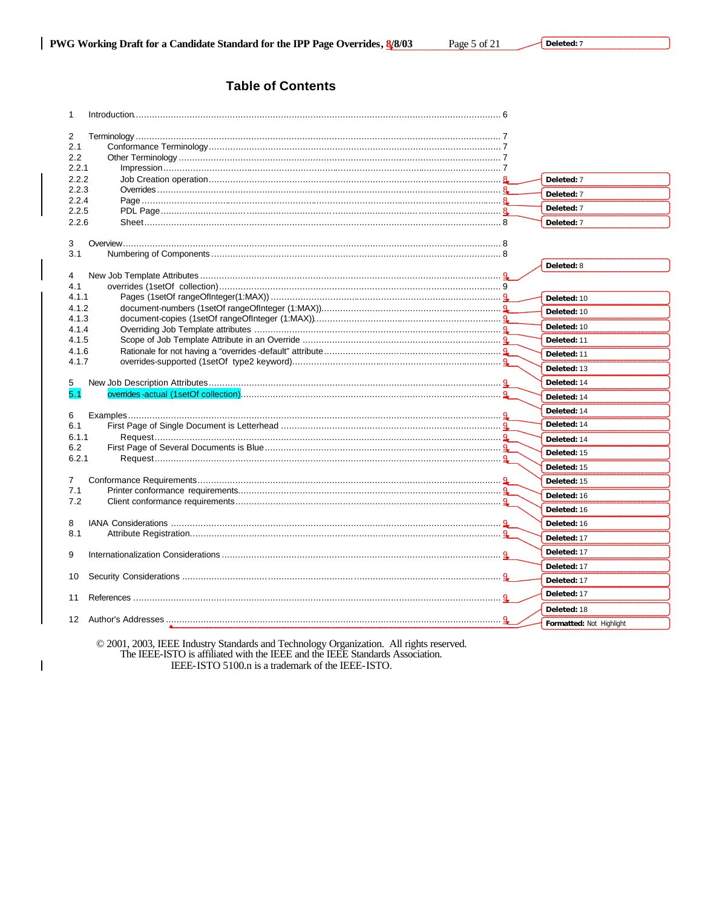# **Table of Contents**

| 1                |                          |
|------------------|--------------------------|
|                  |                          |
| 2<br>2.1         |                          |
| 2.2              |                          |
| 2.2.1            |                          |
| 2.2.2            | Deleted: 7               |
| 2.2.3            | Deleted: 7               |
| 2.2.4            | Deleted: 7               |
| 2.2.5            |                          |
| 2.2.6            | Deleted: 7               |
| 3                |                          |
| 3.1              |                          |
|                  | Deleted: 8               |
| 4                |                          |
| 4.1              |                          |
| 4.1.1            | Deleted: 10              |
| 4.1.2            | Deleted: 10              |
| 4.1.3            | Deleted: 10              |
| 4.1.4            |                          |
| 4.1.5<br>4.1.6   | Deleted: 11              |
| 4.1.7            | Deleted: 11              |
|                  | Deleted: 13              |
| 5                | Deleted: 14              |
| 5.1              | Deleted: 14              |
| 6                | Deleted: 14              |
| 6.1              | Deleted: 14              |
| 6.1.1            | Deleted: 14              |
| 6.2              | Deleted: 15              |
| 6.2.1            | Deleted: 15              |
| $\overline{7}$   | Deleted: 15              |
| 7.1              | Deleted: 16              |
| 7.2              | Deleted: 16              |
| 8                | Deleted: 16              |
| 8.1              | Deleted: 17              |
| 9                | Deleted: 17              |
|                  | Deleted: 17              |
| 10               | Deleted: 17              |
| 11               | Deleted: 17              |
|                  | Deleted: 18              |
| 12 <sup>12</sup> | Formatted: Not Highlight |

© 2001, 2003, IEEE Industry Standards and Technology Organization. All rights reserved.<br>The IEEE-ISTO is affiliated with the IEEE and the IEEE Standards Association. IEEE-ISTO 5100.n is a trademark of the IEEE-ISTO.

 $\overline{\phantom{a}}$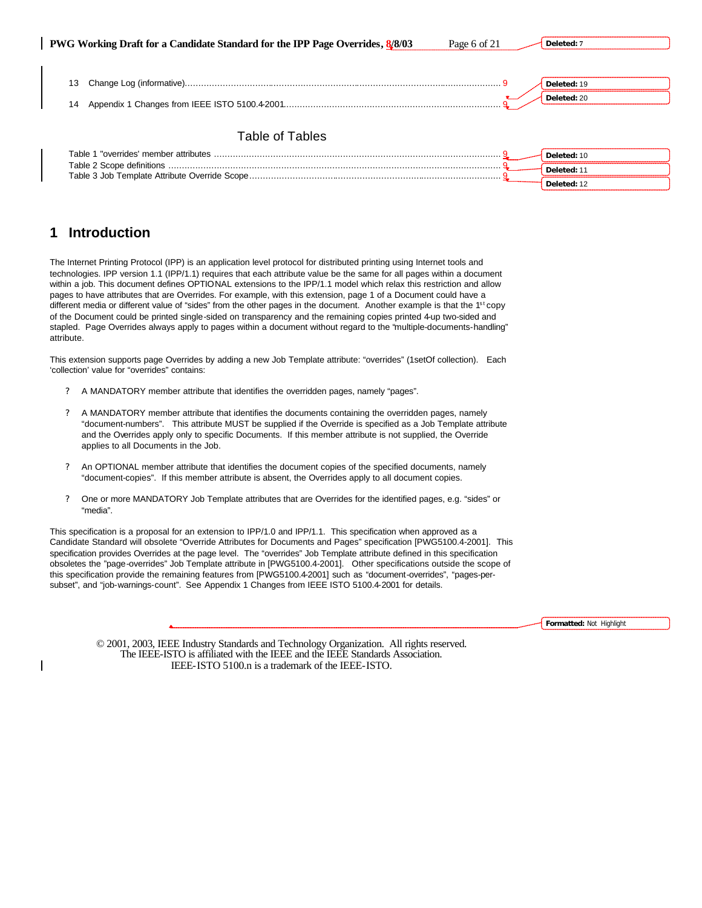**PWG Working Draft for a Candidate Standard for the IPP Page Overrides, 8/8/03** Page 6 of 21

**Deleted: 7**

**Deleted:** 12

| 13              | Deleted: 19 |
|-----------------|-------------|
| 14              | Deleted: 20 |
|                 |             |
| Table of Tables |             |
|                 | Deleted: 10 |

# **1 Introduction**

The Internet Printing Protocol (IPP) is an application level protocol for distributed printing using Internet tools and technologies. IPP version 1.1 (IPP/1.1) requires that each attribute value be the same for all pages within a document within a job. This document defines OPTIONAL extensions to the IPP/1.1 model which relax this restriction and allow pages to have attributes that are Overrides. For example, with this extension, page 1 of a Document could have a different media or different value of "sides" from the other pages in the document. Another example is that the  $1<sup>st</sup>$  copy of the Document could be printed single-sided on transparency and the remaining copies printed 4-up two-sided and stapled. Page Overrides always apply to pages within a document without regard to the "multiple-documents-handling" attribute.

This extension supports page Overrides by adding a new Job Template attribute: "overrides" (1setOf collection). Each 'collection' value for "overrides" contains:

- ? A MANDATORY member attribute that identifies the overridden pages, namely "pages".
- ? A MANDATORY member attribute that identifies the documents containing the overridden pages, namely "document-numbers". This attribute MUST be supplied if the Override is specified as a Job Template attribute and the Overrides apply only to specific Documents. If this member attribute is not supplied, the Override applies to all Documents in the Job.
- ? An OPTIONAL member attribute that identifies the document copies of the specified documents, namely "document-copies". If this member attribute is absent, the Overrides apply to all document copies.
- ? One or more MANDATORY Job Template attributes that are Overrides for the identified pages, e.g. "sides" or "media".

This specification is a proposal for an extension to IPP/1.0 and IPP/1.1. This specification when approved as a Candidate Standard will obsolete "Override Attributes for Documents and Pages" specification [PWG5100.4-2001]. This specification provides Overrides at the page level. The "overrides" Job Template attribute defined in this specification obsoletes the "page-overrides" Job Template attribute in [PWG5100.4-2001]. Other specifications outside the scope of this specification provide the remaining features from [PWG5100.4-2001] such as "document-overrides", "pages-persubset", and "job-warnings-count". See Appendix 1 Changes from IEEE ISTO 5100.4-2001 for details.

**Formatted:** Not Highlight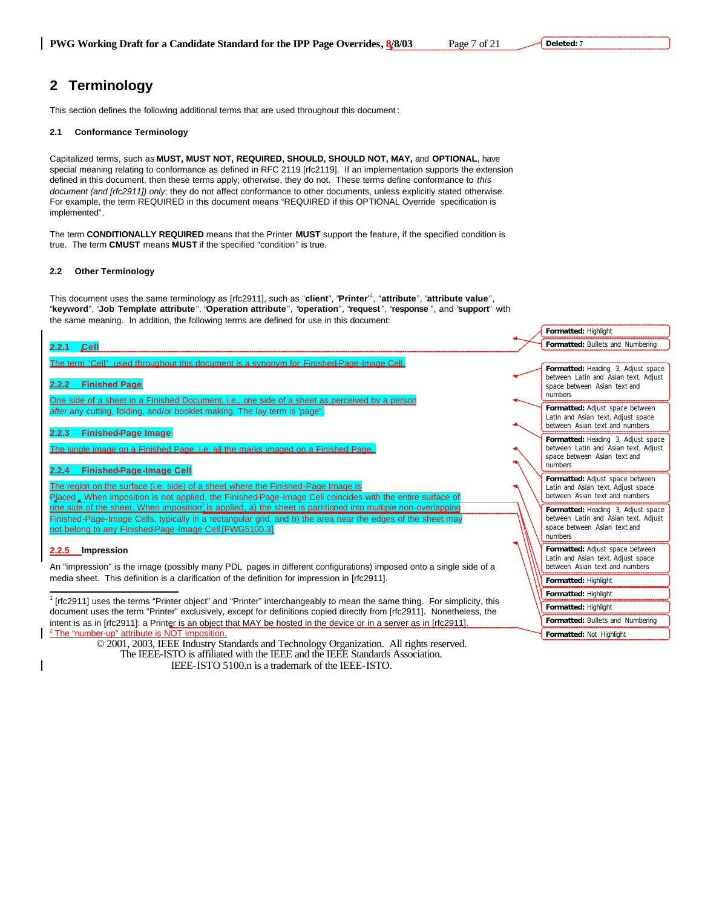# **2 Terminology**

This section defines the following additional terms that are used throughout this document :

## **2.1 Conformance Terminology**

Capitalized terms, such as **MUST, MUST NOT, REQUIRED, SHOULD, SHOULD NOT, MAY,** and **OPTIONAL**, have special meaning relating to conformance as defined in RFC 2119 [rfc2119]. If an implementation supports the extension defined in this document, then these terms apply; otherwise, they do not. These terms define conformance to *this document (and [rfc2911]) only*; they do not affect conformance to other documents, unless explicitly stated otherwise. For example, the term REQUIRED in this document means "REQUIRED if this OPTIONAL Override specification is implemented"*.*

The term **CONDITIONALLY REQUIRED** means that the Printer **MUST** support the feature, if the specified condition is true. The term **CMUST** means **MUST** if the specified "condition" is true.

## **2.2 Other Terminology**

This document uses the same terminology as [rfc2911], such as "**client**", "**Printer**" 1 , "**attribute**", "**attribute value**", "**keyword**", "**Job Template attribute**", "**Operation attribute**", "**operation**", "**request** ", "**response** ", and "**support**" with the same meaning. In addition, the following terms are defined for use in this document:

# **2.2.1 Cell**

The term "Cell" used throughout this document is a synonym for Finished-Page-Image Cell.

## **2.2.2 Finished Page**

One side of a sheet in a Finished Document, i.e., one side of a sheet as perceived by a person *after* any cutting, folding, and/or booklet making. The lay term is 'page'.

## **2.2.3 Finished-Page Image**

The single image on a Finished Page, i.e. all the marks imaged on a Finished Page.

# **2.2.4 Finished-Page-Image Cell**

The region on the surface (i.e. side) of a sheet where the Finished-Page Image is

Placed . When imposition is not applied, the Finished-Page-Image Cell coincides with the entire surface of one side of the sheet. When imposition<sup>2</sup> is applied, a) the sheet is partitioned into multiple non-overlapping Finished-Page-Image Cells, typically in a rectangular grid, and b) the area near the edges of the sh not belong to any Finished-Page-Image Cell.[PWG5100.3]

# **2.2.5 Impression**

 $\overline{a}$ 

An "impression" is the image (possibly many PDL pages in different configurations) imposed onto a media sheet. This definition is a clarification of the definition for impression in [rfc2911].

<sup>1</sup> [rfc2911] uses the terms "Printer object" and "Printer" interchangeably to mean the same thing. For simplicity, this document uses the term "Printer" exclusively, except for definitions copied directly from [rfc2911]. intent is as in [rfc2911]: a Printer is an object that MAY be hosted in the device or in a server as in <sup>2</sup> The "number-up" attribute is NOT imposition.

|                                         | Formatted: Highlight                                                                                                  |
|-----------------------------------------|-----------------------------------------------------------------------------------------------------------------------|
|                                         | Formatted: Bullets and Numbering                                                                                      |
|                                         |                                                                                                                       |
|                                         | Formatted: Heading 3, Adjust space<br>between Latin and Asian text, Adjust<br>space between Asian text and<br>numbers |
|                                         | Formatted: Adjust space between<br>Latin and Asian text, Adjust space<br>between Asian text and numbers               |
|                                         | Formatted: Heading 3, Adjust space<br>between Latin and Asian text, Adjust<br>space between Asian text and<br>numbers |
| face of                                 | Formatted: Adjust space between<br>Latin and Asian text, Adjust space<br>between Asian text and numbers               |
| lapping<br>eet may                      | Formatted: Heading 3, Adjust space<br>between Latin and Asian text, Adjust<br>space between Asian text and<br>numbers |
| a single side of a                      | Formatted: Adjust space between<br>Latin and Asian text, Adjust space<br>between Asian text and numbers               |
|                                         | Formatted: Highlight                                                                                                  |
|                                         | Formatted: Highlight                                                                                                  |
| or simplicity, this<br>Nonetheless, the | Formatted: Highlight                                                                                                  |
| [rfc2911].                              | Formatted: Bullets and Numbering                                                                                      |
|                                         | Formatted: Not Highlight                                                                                              |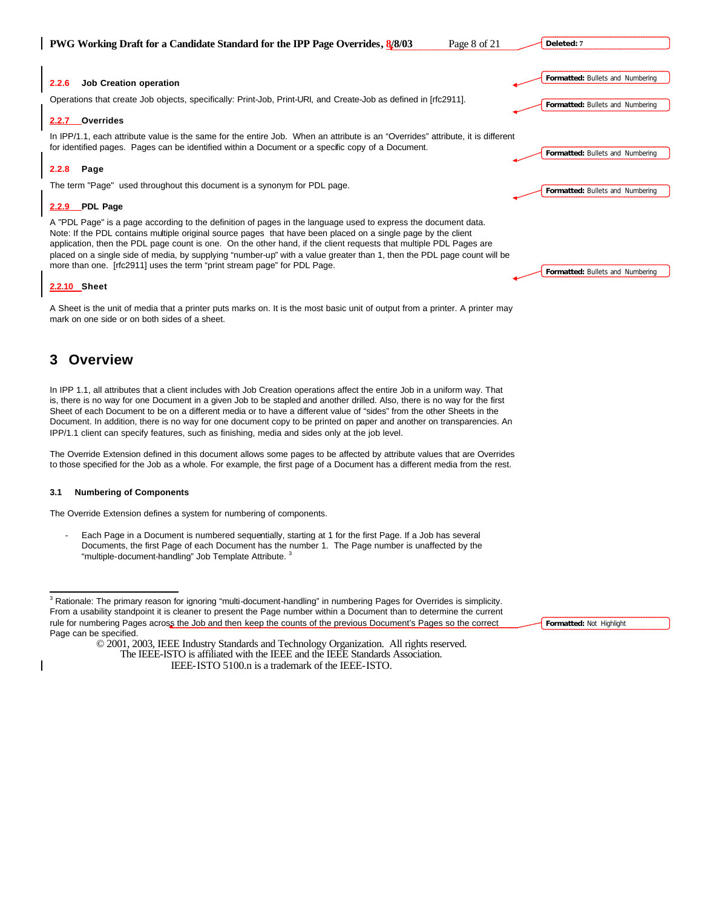|  |  |  |  | <b>PWG Working Draft for a Candidate Standard for the IPP Page Overrides, 8/8/03</b> |  |
|--|--|--|--|--------------------------------------------------------------------------------------|--|
|  |  |  |  |                                                                                      |  |

**2.2.6 Job Creation operation**

Operations that create Job objects, specifically: Print-Job, Print-URI, and Create-Job as defined in [rfc2911].

## **2.2.7 Overrides**

In IPP/1.1, each attribute value is the same for the entire Job. When an attribute is an "Overrides" attribute, it is different for identified pages. Pages can be identified within a Document or a specific copy of a Document.

### **2.2.8 Page**

The term "Page" used throughout this document is a synonym for PDL page.

# **2.2.9 PDL Page**

A "PDL Page" is a page according to the definition of pages in the language used to express the document data. Note: If the PDL contains multiple original source pages that have been placed on a single page by the client application, then the PDL page count is one. On the other hand, if the client requests that multiple PDL Pages are placed on a single side of media, by supplying "number-up" with a value greater than 1, then the PDL page count will be more than one. [rfc2911] uses the term "print stream page" for PDL Page.

### **2.2.10 Sheet**

A Sheet is the unit of media that a printer puts marks on. It is the most basic unit of output from a printer. A printer may mark on one side or on both sides of a sheet.

# **3 Overview**

 $\overline{a}$ 

In IPP 1.1, all attributes that a client includes with Job Creation operations affect the entire Job in a uniform way. That is, there is no way for one Document in a given Job to be stapled and another drilled. Also, there is no way for the first Sheet of each Document to be on a different media or to have a different value of "sides" from the other Sheets in the Document. In addition, there is no way for one document copy to be printed on paper and another on transparencies. An IPP/1.1 client can specify features, such as finishing, media and sides only at the job level.

The Override Extension defined in this document allows some pages to be affected by attribute values that are Overrides to those specified for the Job as a whole. For example, the first page of a Document has a different media from the rest.

## **3.1 Numbering of Components**

The Override Extension defines a system for numbering of components.

Each Page in a Document is numbered sequentially, starting at 1 for the first Page. If a Job has several Documents, the first Page of each Document has the number 1. The Page number is unaffected by the "multiple-document-handling" Job Template Attribute.<sup>3</sup>

<sup>3</sup> Rationale: The primary reason for ignoring "multi-document-handling" in numbering Pages for Overrides is simplicity. From a usability standpoint it is cleaner to present the Page number within a Document than to determine the current rule for numbering Pages across the Job and then keep the counts of the previous Document's Pages so the correct Page can be specified.

> © 2001, 2003, IEEE Industry Standards and Technology Organization. All rights reserved. The IEEE-ISTO is affiliated with the IEEE and the IEEE Standards Association. IEEE-ISTO 5100.n is a trademark of the IEEE-ISTO.

**Formatted:** Bullets and Numbering **Formatted:** Bullets and Numbering

**Formatted:** Bullets and Numbering

**Formatted:** Bullets and Numbering

**Deleted: 7**

**Formatted:** Bullets and Numbering

**Formatted:** Not Highlight

Page 8 of 21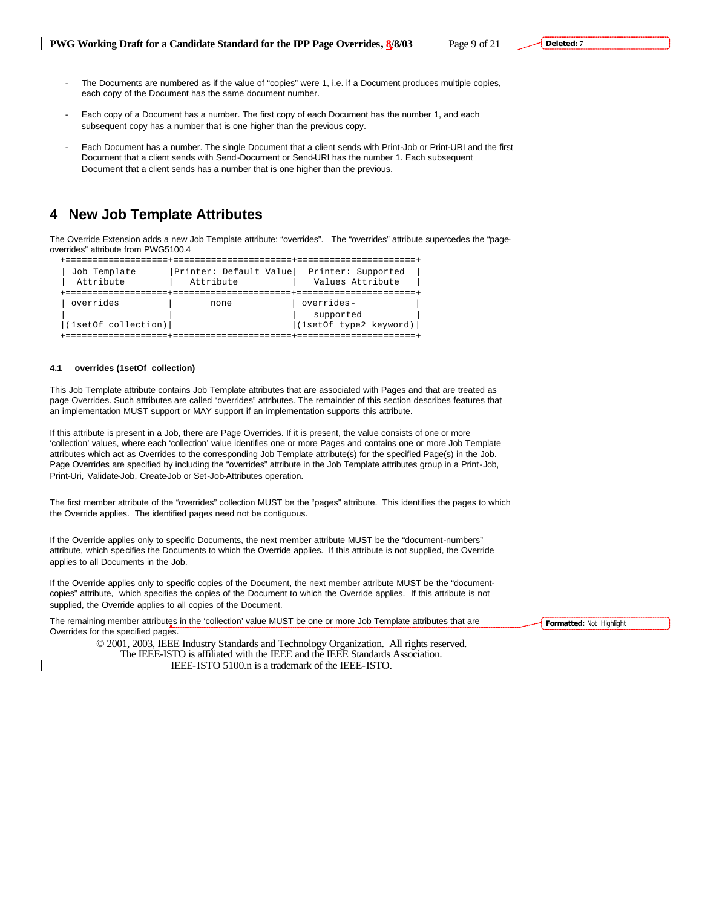- The Documents are numbered as if the value of "copies" were 1, i.e. if a Document produces multiple copies, each copy of the Document has the same document number.
- Each copy of a Document has a number. The first copy of each Document has the number 1, and each subsequent copy has a number that is one higher than the previous copy.
- Each Document has a number. The single Document that a client sends with Print-Job or Print-URI and the first Document that a client sends with Send-Document or Send-URI has the number 1. Each subsequent Document that a client sends has a number that is one higher than the previous.

# **4 New Job Template Attributes**

The Override Extension adds a new Job Template attribute: "overrides". The "overrides" attribute supercedes the "pageoverrides" attribute from PWG5100.4

| Job Template<br>Attribute | Printer: Default Value<br>Attribute | Printer: Supported<br>Values Attribute |  |
|---------------------------|-------------------------------------|----------------------------------------|--|
|                           |                                     |                                        |  |
| overrides                 | none                                | overrides-                             |  |
|                           |                                     | supported                              |  |
| (1setOf collection)       |                                     | (lsetOf type2 keyword)                 |  |
|                           |                                     |                                        |  |

### **4.1 overrides (1setOf collection)**

This Job Template attribute contains Job Template attributes that are associated with Pages and that are treated as page Overrides. Such attributes are called "overrides" attributes. The remainder of this section describes features that an implementation MUST support or MAY support if an implementation supports this attribute.

If this attribute is present in a Job, there are Page Overrides. If it is present, the value consists of one or more 'collection' values, where each 'collection' value identifies one or more Pages and contains one or more Job Template attributes which act as Overrides to the corresponding Job Template attribute(s) for the specified Page(s) in the Job. Page Overrides are specified by including the "overrides" attribute in the Job Template attributes group in a Print-Job, Print-Uri, Validate-Job, Create-Job or Set-Job-Attributes operation.

The first member attribute of the "overrides" collection MUST be the "pages" attribute. This identifies the pages to which the Override applies. The identified pages need not be contiguous.

If the Override applies only to specific Documents, the next member attribute MUST be the "document-numbers" attribute, which specifies the Documents to which the Override applies. If this attribute is not supplied, the Override applies to all Documents in the Job.

If the Override applies only to specific copies of the Document, the next member attribute MUST be the "documentcopies" attribute, which specifies the copies of the Document to which the Override applies. If this attribute is not supplied, the Override applies to all copies of the Document.

The remaining member attributes in the 'collection' value MUST be one or more Job Template attributes that are Overrides for the specified pages.

> © 2001, 2003, IEEE Industry Standards and Technology Organization. All rights reserved. The IEEE-ISTO is affiliated with the IEEE and the IEEE Standards Association. IEEE-ISTO 5100.n is a trademark of the IEEE-ISTO.

**Formatted:** Not Highlight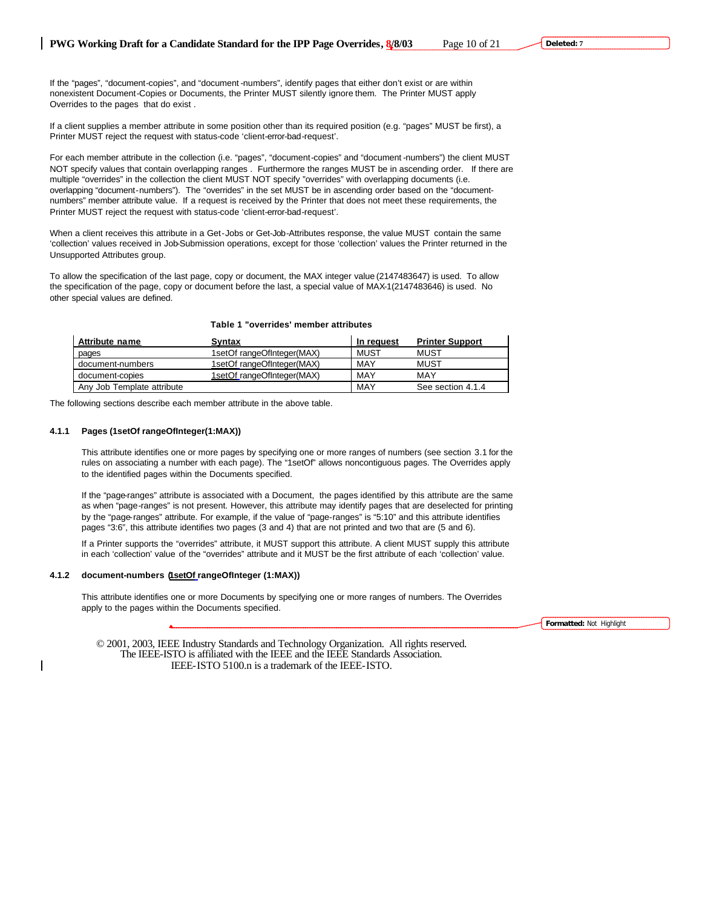If the "pages", "document-copies", and "document -numbers", identify pages that either don't exist or are within nonexistent Document-Copies or Documents, the Printer MUST silently ignore them. The Printer MUST apply Overrides to the pages that do exist .

If a client supplies a member attribute in some position other than its required position (e.g. "pages" MUST be first), a Printer MUST reject the request with status-code 'client-error-bad-request'.

For each member attribute in the collection (i.e. "pages", "document-copies" and "document -numbers") the client MUST NOT specify values that contain overlapping ranges . Furthermore the ranges MUST be in ascending order. If there are multiple "overrides" in the collection the client MUST NOT specify "overrides" with overlapping documents (i.e. overlapping "document-numbers"). The "overrides" in the set MUST be in ascending order based on the "documentnumbers" member attribute value. If a request is received by the Printer that does not meet these requirements, the Printer MUST reject the request with status-code 'client-error-bad-request'.

When a client receives this attribute in a Get-Jobs or Get-Job-Attributes response, the value MUST contain the same 'collection' values received in Job-Submission operations, except for those 'collection' values the Printer returned in the Unsupported Attributes group.

To allow the specification of the last page, copy or document, the MAX integer value (2147483647) is used. To allow the specification of the page, copy or document before the last, a special value of MAX-1(2147483646) is used. No other special values are defined.

|  | Table 1 "overrides' member attributes |  |  |
|--|---------------------------------------|--|--|
|--|---------------------------------------|--|--|

| Attribute name             | Syntax                     | In request | <b>Printer Support</b> |
|----------------------------|----------------------------|------------|------------------------|
| pages                      | 1setOf rangeOfInteger(MAX) | MUST       | MUST                   |
| document-numbers           | 1setOf rangeOfInteger(MAX) | MAY        | MUST                   |
| document-copies            | 1setOf rangeOfInteger(MAX) | MAY        | MAY                    |
| Any Job Template attribute |                            | MAY        | See section 4.1.4      |

The following sections describe each member attribute in the above table.

## **4.1.1 Pages (1setOf rangeOfInteger(1:MAX))**

This attribute identifies one or more pages by specifying one or more ranges of numbers (see section 3.1 for the rules on associating a number with each page). The "1setOf" allows noncontiguous pages. The Overrides apply to the identified pages within the Documents specified.

If the "page-ranges" attribute is associated with a Document, the pages identified by this attribute are the same as when "page-ranges" is not present. However, this attribute may identify pages that are deselected for printing by the "page-ranges" attribute. For example, if the value of "page-ranges" is "5:10" and this attribute identifies pages "3:6", this attribute identifies two pages (3 and 4) that are not printed and two that are (5 and 6).

If a Printer supports the "overrides" attribute, it MUST support this attribute. A client MUST supply this attribute in each 'collection' value of the "overrides" attribute and it MUST be the first attribute of each 'collection' value.

## **4.1.2 document-numbers (1setOf rangeOfInteger (1:MAX))**

This attribute identifies one or more Documents by specifying one or more ranges of numbers. The Overrides apply to the pages within the Documents specified.

**Formatted:** Not Highlight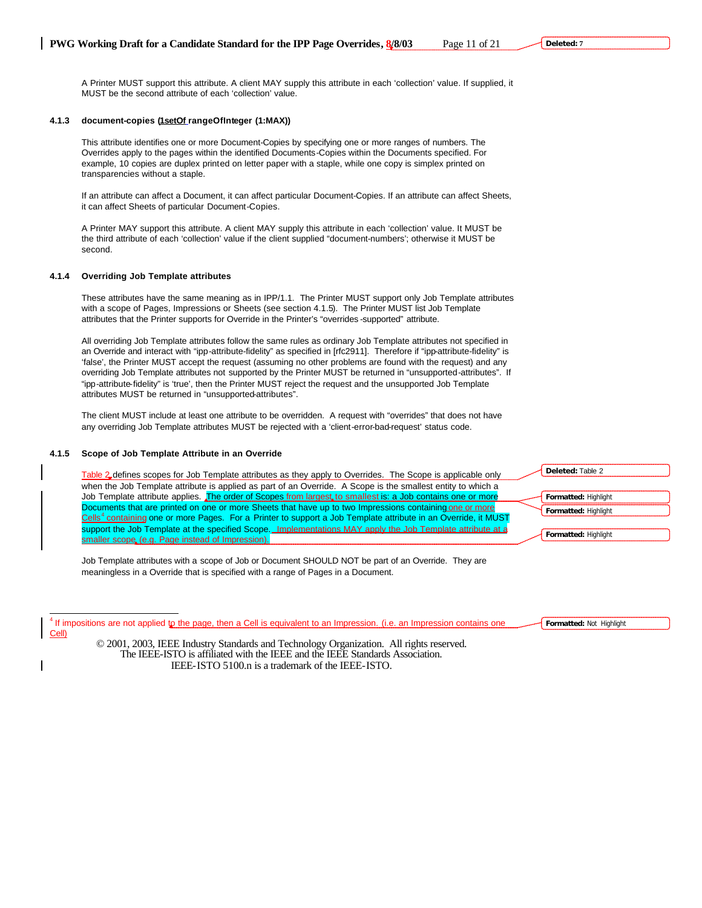A Printer MUST support this attribute. A client MAY supply this attribute in each 'collection' value. If supplied, it MUST be the second attribute of each 'collection' value.

# **4.1.3 document-copies (1setOf rangeOfInteger (1:MAX))**

This attribute identifies one or more Document-Copies by specifying one or more ranges of numbers. The Overrides apply to the pages within the identified Documents-Copies within the Documents specified. For example, 10 copies are duplex printed on letter paper with a staple, while one copy is simplex printed on transparencies without a staple.

If an attribute can affect a Document, it can affect particular Document-Copies. If an attribute can affect Sheets, it can affect Sheets of particular Document-Copies.

A Printer MAY support this attribute. A client MAY supply this attribute in each 'collection' value. It MUST be the third attribute of each 'collection' value if the client supplied "document-numbers'; otherwise it MUST be second.

## **4.1.4 Overriding Job Template attributes**

These attributes have the same meaning as in IPP/1.1. The Printer MUST support only Job Template attributes with a scope of Pages, Impressions or Sheets (see section 4.1.5). The Printer MUST list Job Template attributes that the Printer supports for Override in the Printer's "overrides -supported" attribute.

All overriding Job Template attributes follow the same rules as ordinary Job Template attributes not specified in an Override and interact with "ipp-attribute-fidelity" as specified in [rfc2911]. Therefore if "ipp-attribute-fidelity" is 'false', the Printer MUST accept the request (assuming no other problems are found with the request) and any overriding Job Template attributes not supported by the Printer MUST be returned in "unsupported-attributes". If "ipp-attribute-fidelity" is 'true', then the Printer MUST reject the request and the unsupported Job Template attributes MUST be returned in "unsupported-attributes".

The client MUST include at least one attribute to be overridden. A request with "overrides" that does not have any overriding Job Template attributes MUST be rejected with a 'client-error-bad-request' status code.

# **4.1.5 Scope of Job Template Attribute in an Override**

 $\overline{a}$ 

| when the Job Template attribute is applied as part of an Override. A Scope is the smallest entity to which a<br>Job Template attribute applies. The order of Scopes from largest to smallest is: a Job contains one or more | <b>Formatted: Highlight</b> |
|-----------------------------------------------------------------------------------------------------------------------------------------------------------------------------------------------------------------------------|-----------------------------|
|                                                                                                                                                                                                                             |                             |
|                                                                                                                                                                                                                             |                             |
| Documents that are printed on one or more Sheets that have up to two Impressions containing one or more                                                                                                                     | Formatted: Highlight        |
| Cells <sup>4</sup> containing one or more Pages. For a Printer to support a Job Template attribute in an Override, it MUST                                                                                                  |                             |
| support the Job Template at the specified Scope. Implementations MAY apply the Job Template attribute at a                                                                                                                  | Formatted: Highlight        |
| smaller scope (e.g. Page instead of Impression).                                                                                                                                                                            |                             |

Job Template attributes with a scope of Job or Document SHOULD NOT be part of an Override. They are meaningless in a Override that is specified with a range of Pages in a Document.

<sup>4</sup> If impositions are not applied to the page, then a Cell is equivalent to an Impression. (i.e. an Impression contains one Cell)

© 2001, 2003, IEEE Industry Standards and Technology Organization. All rights reserved. The IEEE-ISTO is affiliated with the IEEE and the IEEE Standards Association. IEEE-ISTO 5100.n is a trademark of the IEEE-ISTO.

**Formatted:** Not Highlight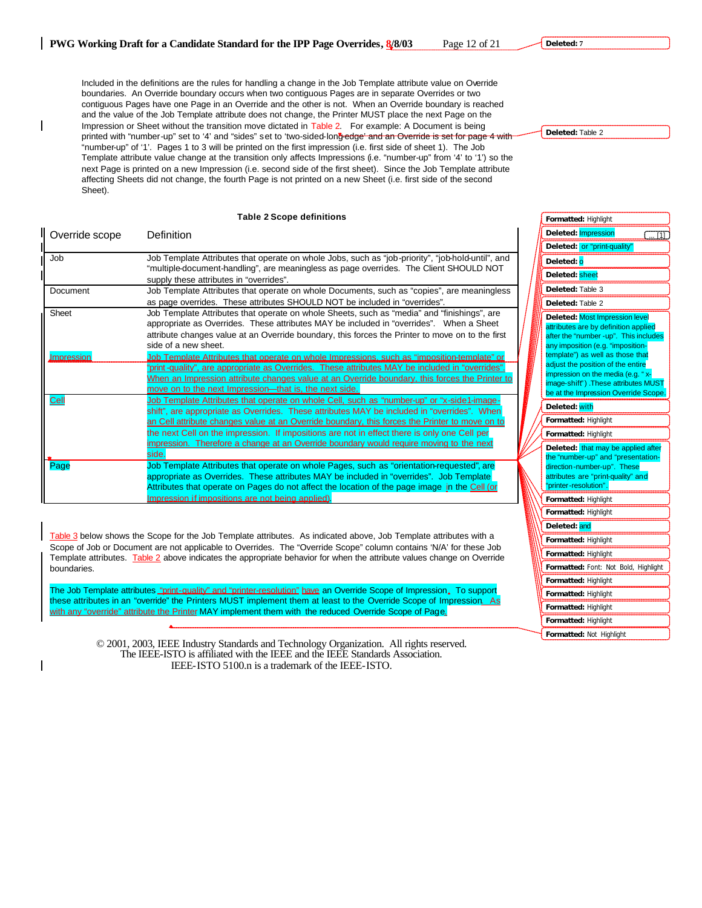Included in the definitions are the rules for handling a change in the Job Template attribute value on Override boundaries. An Override boundary occurs when two contiguous Pages are in separate Overrides or two contiguous Pages have one Page in an Override and the other is not. When an Override boundary is reached and the value of the Job Template attribute does not change, the Printer MUST place the next Page on the Impression or Sheet without the transition move dictated in Table 2. For example: A Document is being printed with "number-up" set to '4' and "sides" set to 'two-sided-long-edge' and an Override is set for page 4 with "number-up" of '1'. Pages 1 to 3 will be printed on the first impression (i.e. first side of sheet 1). The Job Template attribute value change at the transition only affects Impressions (i.e. "number-up" from '4' to '1') so the next Page is printed on a new Impression (i.e. second side of the first sheet). Since the Job Template attribute affecting Sheets did not change, the fourth Page is not printed on a new Sheet (i.e. first side of the second Sheet).

#### **Table 2 Scope definitions**

| Override scope | Definition                                                                                                                                                                                                                                                                                                                                                                                                                                                                                      |  |
|----------------|-------------------------------------------------------------------------------------------------------------------------------------------------------------------------------------------------------------------------------------------------------------------------------------------------------------------------------------------------------------------------------------------------------------------------------------------------------------------------------------------------|--|
| Job            | Job Template Attributes that operate on whole Jobs, such as "job-priority", "job-hold-until", and<br>"multiple-document-handling", are meaningless as page overrides. The Client SHOULD NOT<br>supply these attributes in "overrides".                                                                                                                                                                                                                                                          |  |
| Document       | Job Template Attributes that operate on whole Documents, such as "copies", are meaningless<br>as page overrides. These attributes SHOULD NOT be included in "overrides".                                                                                                                                                                                                                                                                                                                        |  |
| Sheet          | Job Template Attributes that operate on whole Sheets, such as "media" and "finishings", are<br>appropriate as Overrides. These attributes MAY be included in "overrides". When a Sheet<br>attribute changes value at an Override boundary, this forces the Printer to move on to the first<br>side of a new sheet.                                                                                                                                                                              |  |
| Impression     | Job Template Attributes that operate on whole Impressions, such as "imposition-template" or<br>"print-quality", are appropriate as Overrides. These attributes MAY be included in "overrides".<br><u>When an Impression attribute changes value at an Override boundary, this forces the Printer to</u><br>move on to the next Impression—that is, the next side.                                                                                                                               |  |
| Cell           | Job Template Attributes that operate on whole Cell, such as "number-up" or "x-side1-image-<br>shift", are appropriate as Overrides. These attributes MAY be included in "overrides". When<br>an Cell attribute changes value at an Override boundary, this forces the Printer to move on to<br>the next Cell on the impression. If impositions are not in effect there is only one Cell per<br>impression. Therefore a change at an Override boundary would require moving to the next<br>side. |  |
| Page           | Job Template Attributes that operate on whole Pages, such as "orientation-requested", are<br>appropriate as Overrides. These attributes MAY be included in "overrides". Job Template<br>Attributes that operate on Pages do not affect the location of the page image in the Cell (or<br>Impression if impositions are not being applied).                                                                                                                                                      |  |

Table 3 below shows the Scope for the Job Template attributes. As indicated above, Job Template attributes with a Scope of Job or Document are not applicable to Overrides. The "Override Scope" column contains 'N/A' for these Job Template attributes. Table 2 above indicates the appropriate behavior for when the attribute values change on Override boundaries.

The Job Template attributes "print-quality" and "printer-resolution" have an Override Scope of Impression. To support these attributes in an "override" the Printers MUST implement them at least to the Override Scope of Impression. As with any "override" attribute the Printer MAY implement them with the reduced Override Scope of Page.

> © 2001, 2003, IEEE Industry Standards and Technology Organization. All rights reserved. The IEEE-ISTO is affiliated with the IEEE and the IEEE Standards Association. IEEE-ISTO 5100.n is a trademark of the IEEE-ISTO.

**Deleted:** Table 2

| Formatted: Highlight                                                                                                                                                                                                                                                                                                                               |
|----------------------------------------------------------------------------------------------------------------------------------------------------------------------------------------------------------------------------------------------------------------------------------------------------------------------------------------------------|
| Deleted: Impression<br>[1]<br>I.                                                                                                                                                                                                                                                                                                                   |
| Deleted: or "print-quality"                                                                                                                                                                                                                                                                                                                        |
| Deleted: <mark>o</mark>                                                                                                                                                                                                                                                                                                                            |
| Deleted: sheet                                                                                                                                                                                                                                                                                                                                     |
| Deleted: Table 3                                                                                                                                                                                                                                                                                                                                   |
| Deleted: Table 2                                                                                                                                                                                                                                                                                                                                   |
| Deleted: Most Impression level<br>attributes are by definition applied<br>after the "number -up". This includes<br>any imposition (e.g. "imposition-<br>template") as well as those that<br>adjust the position of the entire<br>impression on the media (e.g. "x-<br>image-shift") .These attributes MUST<br>be at the Impression Override Scope. |
| Deleted: with                                                                                                                                                                                                                                                                                                                                      |
|                                                                                                                                                                                                                                                                                                                                                    |
| Formatted: Highlight                                                                                                                                                                                                                                                                                                                               |
| Formatted: Highlight                                                                                                                                                                                                                                                                                                                               |
| Deleted: that may be applied after<br>the "number-up" and "presentation-<br>direction-number-up". These<br>attributes are "print-quality" and<br>"printer-resolution"                                                                                                                                                                              |
| Formatted: Highlight                                                                                                                                                                                                                                                                                                                               |
| Formatted: Highlight                                                                                                                                                                                                                                                                                                                               |
| Deleted: and                                                                                                                                                                                                                                                                                                                                       |
| Formatted: Highlight                                                                                                                                                                                                                                                                                                                               |
| Formatted: Highlight                                                                                                                                                                                                                                                                                                                               |
| Formatted: Font: Not Bold, Highlight                                                                                                                                                                                                                                                                                                               |
| Formatted: Highlight                                                                                                                                                                                                                                                                                                                               |
| Formatted: Highlight                                                                                                                                                                                                                                                                                                                               |
| Formatted: Highlight                                                                                                                                                                                                                                                                                                                               |

**Formatted:** Not Highlight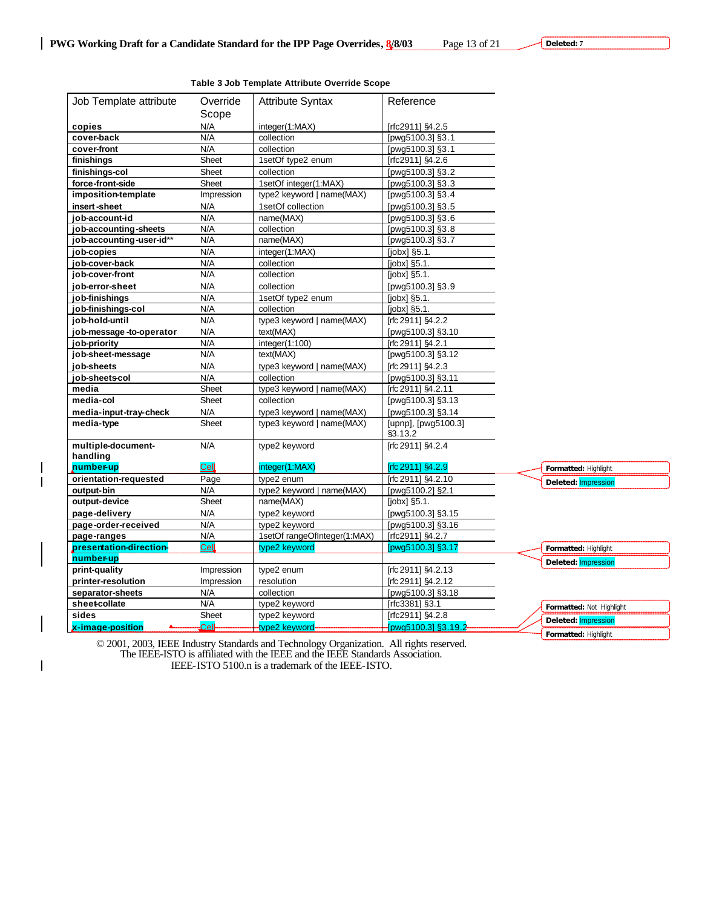$\overline{\phantom{a}}$ 

 $\overline{\phantom{a}}$ 

 $\mathsf I$ 

|                                        |                   | Table 3 Job Template Attribute Override Scope |                                         |                          |
|----------------------------------------|-------------------|-----------------------------------------------|-----------------------------------------|--------------------------|
| Job Template attribute                 | Override          | <b>Attribute Syntax</b>                       | Reference                               |                          |
|                                        | Scope             |                                               |                                         |                          |
| copies                                 | N/A               | integer(1:MAX)                                | [rfc2911] §4.2.5                        |                          |
| cover-back                             | N/A               | collection                                    | [pwg5100.3] §3.1                        |                          |
| cover-front                            | N/A               | collection                                    | [pwg5100.3] §3.1                        |                          |
| finishings                             | Sheet             | 1setOf type2 enum                             | [rfc2911] §4.2.6                        |                          |
| finishings-col                         | Sheet             | collection                                    | [pwg5100.3] §3.2                        |                          |
| force-front-side                       | Sheet             | 1setOf integer(1:MAX)                         | [pwg5100.3] §3.3                        |                          |
| imposition-template                    | Impression        | type2 keyword   name(MAX)                     | [pwg5100.3] §3.4                        |                          |
| insert-sheet                           | N/A               | 1setOf collection                             | [pwg5100.3] §3.5                        |                          |
| job-account-id                         | N/A               | name(MAX)                                     | [pwg5100.3] §3.6                        |                          |
| job-accounting-sheets                  | N/A               | collection                                    | [pwg5100.3] §3.8                        |                          |
| job-accounting-user-id**               | N/A               | name(MAX)                                     | [pwg5100.3] §3.7                        |                          |
| job-copies                             | N/A               | integer(1:MAX)                                | [jobx] §5.1.                            |                          |
| iob-cover-back                         | N/A               | collection                                    | [jobx] §5.1.                            |                          |
| job-cover-front                        | N/A               | collection                                    | $[jobx]$ §5.1.                          |                          |
| job-error-sheet                        | N/A               | collection                                    | [pwg5100.3] §3.9                        |                          |
| job-finishings                         | N/A               | 1setOf type2 enum                             | $[jobx]$ §5.1.                          |                          |
| job-finishings-col                     | N/A               | collection                                    | $[jobx]$ §5.1.                          |                          |
| job-hold-until                         | N/A               | type3 keyword   name(MAX)                     | [rfc 2911] §4.2.2                       |                          |
| job-message-to-operator                | N/A               | text(MAX)                                     | [pwg5100.3] §3.10                       |                          |
| job-priority                           | N/A               | integer(1:100)                                | [rfc 2911] §4.2.1                       |                          |
| job-sheet-message                      | N/A               | text(MAX)                                     | [pwg5100.3] §3.12                       |                          |
| job-sheets                             | N/A               | type3 keyword   name(MAX)                     | $[rfc 2911]$ §4.2.3                     |                          |
| job-sheetscol                          | N/A               | collection                                    | [pwg5100.3] §3.11                       |                          |
| media                                  | Sheet             | type3 keyword   name(MAX)                     | [rfc 2911] §4.2.11                      |                          |
| media-col                              | Sheet             | collection                                    | [pwg5100.3] §3.13                       |                          |
| media-input-tray-check                 | N/A               | type3 keyword   name(MAX)                     | [pwg5100.3] §3.14                       |                          |
| media-type                             | Sheet             | type3 keyword   name(MAX)                     | [upnp], [pwg5100.3]                     |                          |
|                                        |                   |                                               | §3.13.2                                 |                          |
| multiple-document-                     | N/A               | type2 keyword                                 | [rfc 2911] §4.2.4                       |                          |
| handling                               |                   |                                               |                                         |                          |
| number-up                              | Cell              | integer(1:MAX)                                | $[$ rfc 2911] $$4.2.9$                  | Formatted: Highlight     |
| orientation-requested                  | Page              | type2 enum                                    | [rfc 2911] §4.2.10                      | Deleted: Impression      |
| output-bin                             | N/A<br>Sheet      | type2 keyword   name(MAX)                     | [pwg5100.2] §2.1                        |                          |
| output-device                          |                   | name(MAX)                                     | $[jobx]$ §5.1.                          |                          |
| page-delivery                          | N/A               | type2 keyword                                 | [pwg5100.3] §3.15                       |                          |
| page-order-received                    | N/A               | type2 keyword                                 | [pwg5100.3] §3.16                       |                          |
| page-ranges                            | N/A               | 1setOf rangeOfInteger(1:MAX)                  | [rfc2911] §4.2.7                        |                          |
| presentation-direction-                | Cell              | type2 keyword                                 | [pwg5100.3] §3.17                       | Formatted: Highlight     |
| number-up<br>print-quality             | Impression        | type2 enum                                    | [rfc 2911] §4.2.13                      | Deleted: Impression      |
|                                        |                   | resolution                                    |                                         |                          |
| printer-resolution<br>separator-sheets | Impression<br>N/A | collection                                    | [rfc 2911] §4.2.12<br>[pwg5100.3] §3.18 |                          |
| sheet-collate                          | N/A               | type2 keyword                                 | [rfc3381] §3.1                          |                          |
| sides                                  | Sheet             | type2 keyword                                 | [rfc2911] §4.2.8                        | Formatted: Not Highlight |
| x-image-position                       | $\mathsf{Cell}$   | type2 keyword                                 | [pwg5100.3] §3.19.2                     | Deleted: Impression      |
|                                        |                   |                                               |                                         | Formatted: Highlight     |

**Table 3 Job Template Attribute Override Scope**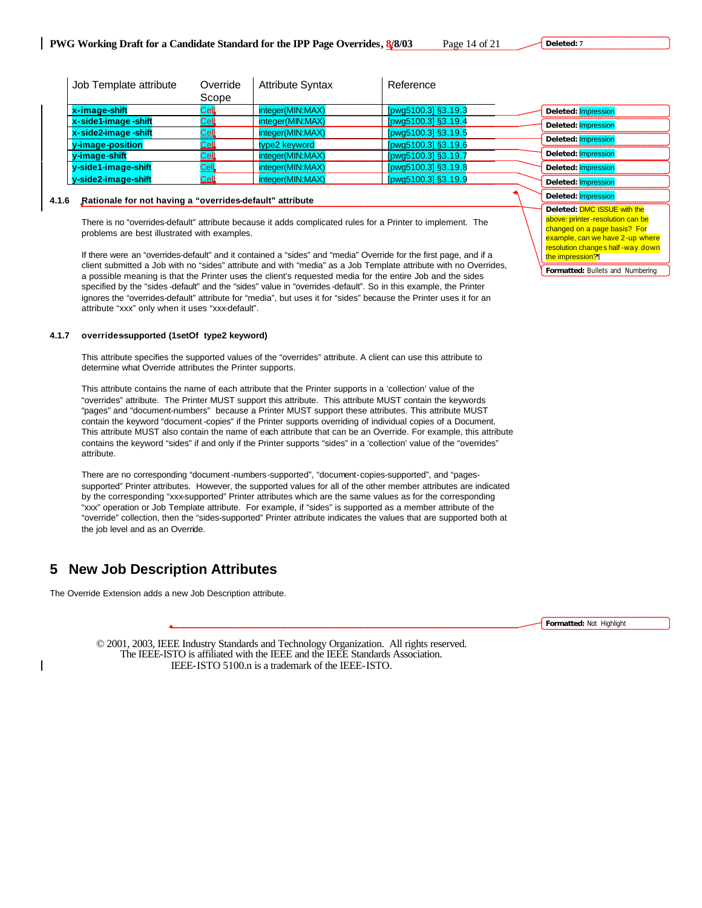**Deleted: 7**

| Job Template attribute                                               | Override<br>Scope           | <b>Attribute Syntax</b> | Reference           |                     |
|----------------------------------------------------------------------|-----------------------------|-------------------------|---------------------|---------------------|
| x-image-shift                                                        | Cel                         | integer(MIN:MAX)        | [pwg5100.3] §3.19.3 | Deleted: Impression |
| x-side1-image-shift                                                  | Ce <sub>4</sub>             | integer(MIN:MAX)        | [pwg5100.3] §3.19.4 | Deleted: Impression |
| x-side2-image-shift                                                  | $\underline{\mathsf{Cell}}$ | integer(MIN:MAX)        | [pwg5100.3] §3.19.5 |                     |
| y-image-position                                                     | $CEL$                       | type2 keyword           | [pwg5100.3] §3.19.6 | Deleted: Impression |
| y-image-shift                                                        | Cell                        | integer(MIN:MAX)        | [pwg5100.3] §3.19.7 | Deleted: Impression |
| y-side1-image-shift                                                  | <u>Cell</u>                 | integer(MIN:MAX)        | [pwg5100.3] §3.19.8 | Deleted: Impression |
| y-side2-image-shift                                                  | $\mathsf{Cell}$             | integer(MIN:MAX)        | [pwg5100.3] §3.19.9 | Deleted: Impression |
| A.A. . Bettenele feature theodore e Georgiale a defective attaliante |                             |                         |                     | Deleted: Impression |

# **4.1.6 Rationale for not having a "overrides-default" attribute**

There is no "overrides-default" attribute because it adds complicated rules for a Printer to implement. The problems are best illustrated with examples.

If there were an "overrides-default" and it contained a "sides" and "media" Override for the first page, and if a client submitted a Job with no "sides" attribute and with "media" as a Job Template attribute with no Overrides, a possible meaning is that the Printer uses the client's requested media for the entire Job and the sides specified by the "sides -default" and the "sides" value in "overrides -default". So in this example, the Printer ignores the "overrides-default" attribute for "media", but uses it for "sides" because the Printer uses it for an attribute "xxx" only when it uses "xxx-default".

# **4.1.7 overrides-supported (1setOf type2 keyword)**

This attribute specifies the supported values of the "overrides" attribute. A client can use this attribute to determine what Override attributes the Printer supports.

This attribute contains the name of each attribute that the Printer supports in a 'collection' value of the "overrides" attribute. The Printer MUST support this attribute. This attribute MUST contain the keywords "pages" and "document-numbers" because a Printer MUST support these attributes. This attribute MUST contain the keyword "document -copies" if the Printer supports overriding of individual copies of a Document. This attribute MUST also contain the name of each attribute that can be an Override. For example, this attribute contains the keyword "sides" if and only if the Printer supports "sides" in a 'collection' value of the "overrides" attribute.

There are no corresponding "document -numbers-supported", "document-copies-supported", and "pagessupported" Printer attributes. However, the supported values for all of the other member attributes are indicated by the corresponding "xxx-supported" Printer attributes which are the same values as for the corresponding "xxx" operation or Job Template attribute. For example, if "sides" is supported as a member attribute of the "override" collection, then the "sides-supported" Printer attribute indicates the values that are supported both at the job level and as an Override.

# **5 New Job Description Attributes**

The Override Extension adds a new Job Description attribute.

**Formatted:** Not Highlight

**Formatted:** Bullets and Numbering

the impression?¶

**Deleted:** DMC ISSUE with the above: printer-resolution can be changed on a page basis? For example, can we have 2-up where resolution changes half -way down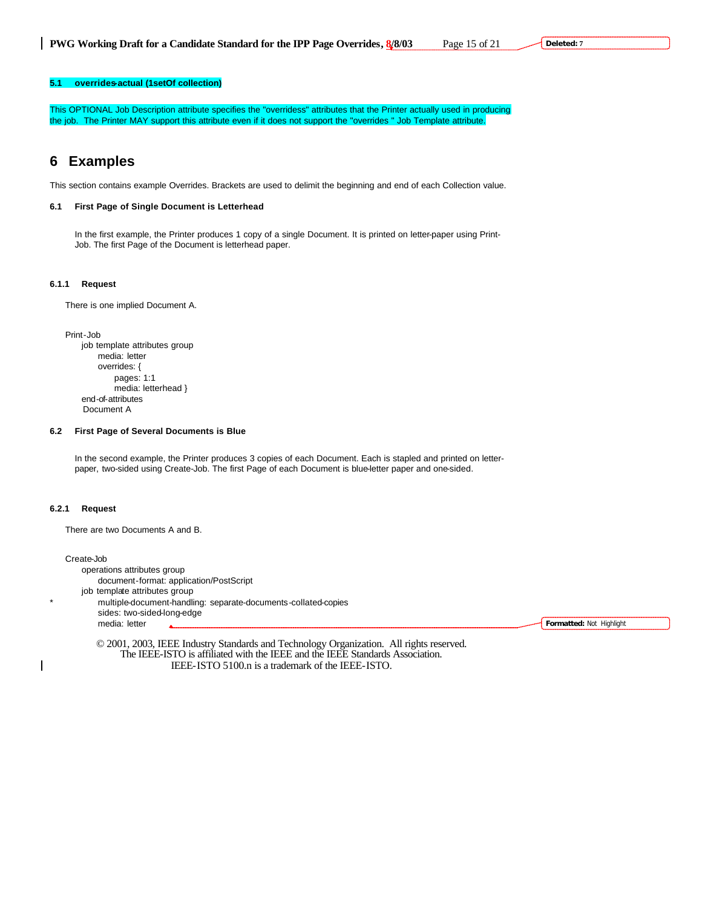# **5.1 overrides-actual (1setOf collection)**

This OPTIONAL Job Description attribute specifies the "overridess" attributes that the Printer actually used in producing the job. The Printer MAY support this attribute even if it does not support the "overrides " Job Template attribute.

# **6 Examples**

This section contains example Overrides. Brackets are used to delimit the beginning and end of each Collection value.

# **6.1 First Page of Single Document is Letterhead**

In the first example, the Printer produces 1 copy of a single Document. It is printed on letter-paper using Print-Job. The first Page of the Document is letterhead paper.

### **6.1.1 Request**

There is one implied Document A.

Print-Job job template attributes group media: letter overrides: { pages: 1:1 media: letterhead } end-of-attributes Document A

# **6.2 First Page of Several Documents is Blue**

In the second example, the Printer produces 3 copies of each Document. Each is stapled and printed on letterpaper, two-sided using Create-Job. The first Page of each Document is blue-letter paper and one-sided.

### **6.2.1 Request**

There are two Documents A and B.

Create-Job operations attributes group document-format: application/PostScript

job template attributes group

multiple-document-handling: separate-documents-collated-copies sides: two-sided-long-edge media: letter

**Formatted:** Not Highlight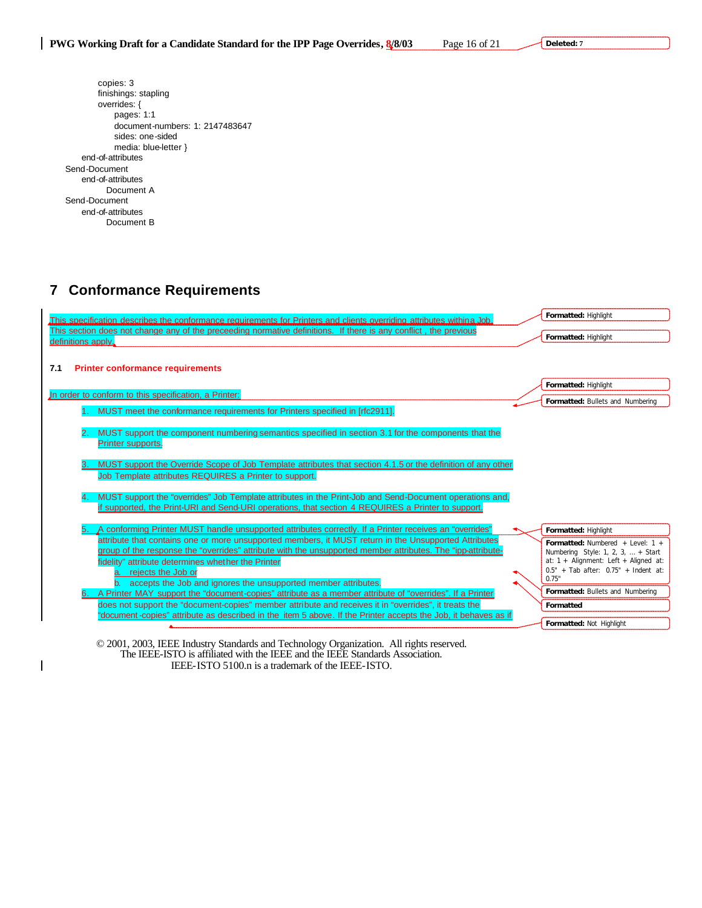| copies: 3                       |
|---------------------------------|
| finishings: stapling            |
| overrides: {                    |
| pages: 1:1                      |
| document-numbers: 1: 2147483647 |
| sides: one-sided                |
| media: blue-letter }            |
| end-of-attributes               |
| Send-Document                   |
| end-of-attributes               |
| Document A                      |
| Send-Document                   |
| end-of-attributes               |
| Document B                      |
|                                 |

# **7 Conformance Requirements**

 $\begin{array}{c} \hline \end{array}$ 

| This specification describes the conformance requirements for Printers and clients overriding attributes withina Job.                                                                                                |  | Formatted: Highlight                                                                     |
|----------------------------------------------------------------------------------------------------------------------------------------------------------------------------------------------------------------------|--|------------------------------------------------------------------------------------------|
| This section does not change any of the preceeding normative definitions. If there is any conflict, the previous<br>Formatted: Highlight<br>definitions apply.                                                       |  |                                                                                          |
| <b>Printer conformance requirements</b><br>7.1                                                                                                                                                                       |  |                                                                                          |
| In order to conform to this specification, a Printer:                                                                                                                                                                |  | Formatted: Highlight                                                                     |
| MUST meet the conformance requirements for Printers specified in [rfc2911].                                                                                                                                          |  | Formatted: Bullets and Numbering                                                         |
|                                                                                                                                                                                                                      |  |                                                                                          |
| MUST support the component numbering semantics specified in section 3.1 for the components that the<br>2.<br>Printer supports.                                                                                       |  |                                                                                          |
| MUST support the Override Scope of Job Template attributes that section 4.1.5 or the definition of any other                                                                                                         |  |                                                                                          |
| Job Template attributes REQUIRES a Printer to support.                                                                                                                                                               |  |                                                                                          |
| MUST support the "overrides" Job Template attributes in the Print-Job and Send-Document operations and,<br>4.                                                                                                        |  |                                                                                          |
| if supported, the Print-URI and Send-URI operations, that section 4 REQUIRES a Printer to support.                                                                                                                   |  |                                                                                          |
| "A conforming Printer MUST handle unsupported attributes correctly. If a Printer receives an "overrides                                                                                                              |  | Formatted: Highlight                                                                     |
| attribute that contains one or more unsupported members, it MUST return in the Unsupported Attributes<br>group of the response the "overrides" attribute with the unsupported member attributes. The "ipp-attribute- |  | <b>Formatted:</b> Numbered $+$ Level: 1 $+$<br>Numbering Style: 1, 2, 3, $\dots$ + Start |
| fidelity" attribute determines whether the Printer                                                                                                                                                                   |  | at: $1 +$ Alignment: Left + Aligned at:                                                  |
| a. rejects the Job or                                                                                                                                                                                                |  | $0.5" + Tab after: 0.75" + Indent at:$<br>0.75"                                          |
| b. accepts the Job and ignores the unsupported member attributes.<br>A Printer MAY support the "document-copies" attribute as a member attribute of "overrides". If a Printer                                        |  | Formatted: Bullets and Numbering                                                         |
| does not support the "document-copies" member attribute and receives it in "overrides", it treats the                                                                                                                |  | Formatted                                                                                |
| "document-copies" attribute as described in the litem 5 above. If the Printer accepts the Job, it behaves as if                                                                                                      |  | Formatted: Not Highlight                                                                 |
|                                                                                                                                                                                                                      |  |                                                                                          |
| © 2001, 2003, IEEE Industry Standards and Technology Organization. All rights reserved.                                                                                                                              |  |                                                                                          |

The IEEE-ISTO is affiliated with the IEEE and the IEEE Standards Association. IEEE-ISTO 5100.n is a trademark of the IEEE-ISTO.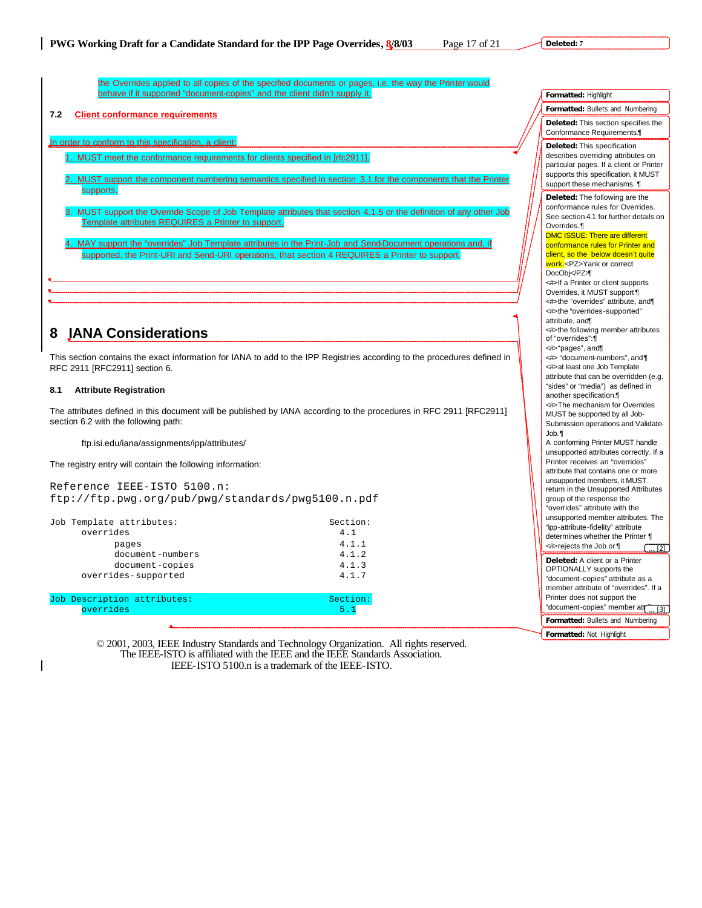the Overrides applied to all copies of the specified documents or pages, i.e. the way the Printer would behave if it supported "document-copies" and the client didn't supply it.

# **7.2 Client conformance requirements**

In order to conform to this specification, a client:

- MUST meet the conformance requirements for clients specified in [rfc2911].
- MUST support the component numbering semantics specified in section 3.1 for the components that the Printer supports.
- 3. MUST support the Override Scope of Job Template attributes that section 4.1.5 or the definition of any other Job Template attributes REQUIRES a Printer to support.
- 4. MAY support the "overrides" Job Template attributes in the Print-Job and Send-Document operations and, if supported, the Print-URI and Send-URI operations, that section 4 REQUIRES a Printer to support.

# **8 IANA Considerations**

This section contains the exact information for IANA to add to the IPP Registries according to the procedures defined in RFC 2911 [RFC2911] section 6.

# **8.1 Attribute Registration**

The attributes defined in this document will be published by IANA according to the procedures in RFC 2911 [RFC2911] section 6.2 with the following path:

ftp.isi.edu/iana/assignments/ipp/attributes/

The registry entry will contain the following information:

Reference IEEE-ISTO 5100.n: ftp://ftp.pwg.org/pub/pwg/standards/pwg5100.n.pdf

| Job Template attributes: | Section: |  |
|--------------------------|----------|--|
| overrides                | 4.1      |  |
| pages                    | 4.1.1    |  |
| document-numbers         | 4.1.2    |  |
| document-copies          | 4.1.3    |  |
| overrides-supported      | 4.1.7    |  |
|                          |          |  |

| Job Description attributes: | Section: |
|-----------------------------|----------|
| overrides                   |          |
|                             |          |

| Formatted: Highlight                                                                                                                                                                                                                                                                                                                                                                                                                                                                                                                                                                                                                                                                                                                                                                                                                                                                                                                                                                                                                                                                                                                                                                                                                                                                                                                                                                                                                                                                                                                                   |  |  |
|--------------------------------------------------------------------------------------------------------------------------------------------------------------------------------------------------------------------------------------------------------------------------------------------------------------------------------------------------------------------------------------------------------------------------------------------------------------------------------------------------------------------------------------------------------------------------------------------------------------------------------------------------------------------------------------------------------------------------------------------------------------------------------------------------------------------------------------------------------------------------------------------------------------------------------------------------------------------------------------------------------------------------------------------------------------------------------------------------------------------------------------------------------------------------------------------------------------------------------------------------------------------------------------------------------------------------------------------------------------------------------------------------------------------------------------------------------------------------------------------------------------------------------------------------------|--|--|
| Formatted: Bullets and Numbering                                                                                                                                                                                                                                                                                                                                                                                                                                                                                                                                                                                                                                                                                                                                                                                                                                                                                                                                                                                                                                                                                                                                                                                                                                                                                                                                                                                                                                                                                                                       |  |  |
| Deleted: This section specifies the<br>Conformance Requirements.                                                                                                                                                                                                                                                                                                                                                                                                                                                                                                                                                                                                                                                                                                                                                                                                                                                                                                                                                                                                                                                                                                                                                                                                                                                                                                                                                                                                                                                                                       |  |  |
| Deleted: This specification<br>describes overriding attributes on<br>particular pages. If a client or Printer<br>supports this specification, it MUST<br>support these mechanisms. ¶                                                                                                                                                                                                                                                                                                                                                                                                                                                                                                                                                                                                                                                                                                                                                                                                                                                                                                                                                                                                                                                                                                                                                                                                                                                                                                                                                                   |  |  |
| Deleted: The following are the<br>conformance rules for Overrides.<br>See section 4.1 for further details on<br>Overrides.<br><b>DMC ISSUE: There are different</b><br>conformance rules for Printer and<br>client, so the below doesn't quite<br>work. <pz>Yank or correct<br/>DocObj</pz><br><#>If a Printer or client supports<br>Overrides, it MUST support ¶<br><#>the "overrides" attribute, and¶<br><#>the "overrides-supported"<br>attribute, and<br><#>the following member attributes<br>of "overrides":¶<br><#>"pages", and¶<br><#> "document-numbers", and \[<br><#>at least one Job Template<br>attribute that can be overridden (e.g.<br>"sides" or "media") as defined in<br>another specification.<br><#>The mechanism for Overrides<br>MUST be supported by all Job-<br>Submission operations and Validate-<br>Job.¶<br>A conforming Printer MUST handle<br>unsupported attributes correctly. If a<br>Printer receives an "overrides"<br>attribute that contains one or more<br>unsupported members, it MUST<br>return in the Unsupported Attributes<br>group of the response the<br>"overrides" attribute with the<br>unsupported member attributes. The<br>"ipp-attribute-fidelity" attribute<br>determines whether the Printer ¶<br><#>rejects the Job or ¶<br>$\overline{2}$<br>Deleted: A client or a Printer<br>OPTIONALLY supports the<br>"document-copies" attribute as a<br>member attribute of "overrides". If a<br>Printer does not support the<br>"document-copies" member att<br>[3]<br>Formatted: Bullets and Numbering |  |  |
|                                                                                                                                                                                                                                                                                                                                                                                                                                                                                                                                                                                                                                                                                                                                                                                                                                                                                                                                                                                                                                                                                                                                                                                                                                                                                                                                                                                                                                                                                                                                                        |  |  |
| Formatted: Not Highlight                                                                                                                                                                                                                                                                                                                                                                                                                                                                                                                                                                                                                                                                                                                                                                                                                                                                                                                                                                                                                                                                                                                                                                                                                                                                                                                                                                                                                                                                                                                               |  |  |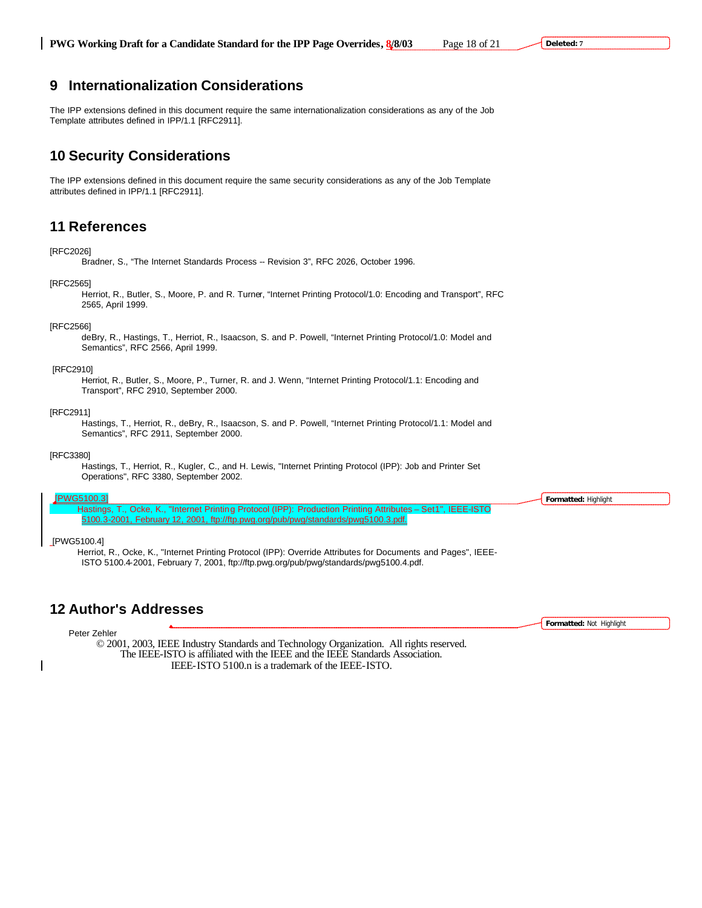# **9 Internationalization Considerations**

The IPP extensions defined in this document require the same internationalization considerations as any of the Job Template attributes defined in IPP/1.1 [RFC2911].

# **10 Security Considerations**

The IPP extensions defined in this document require the same security considerations as any of the Job Template attributes defined in IPP/1.1 [RFC2911].

# **11 References**

## [RFC2026]

Bradner, S., "The Internet Standards Process -- Revision 3", RFC 2026, October 1996.

## [RFC2565]

Herriot, R., Butler, S., Moore, P. and R. Turner, "Internet Printing Protocol/1.0: Encoding and Transport", RFC 2565, April 1999.

# [RFC2566]

deBry, R., Hastings, T., Herriot, R., Isaacson, S. and P. Powell, "Internet Printing Protocol/1.0: Model and Semantics", RFC 2566, April 1999.

## [RFC2910]

Herriot, R., Butler, S., Moore, P., Turner, R. and J. Wenn, "Internet Printing Protocol/1.1: Encoding and Transport", RFC 2910, September 2000.

# [RFC2911]

Hastings, T., Herriot, R., deBry, R., Isaacson, S. and P. Powell, "Internet Printing Protocol/1.1: Model and Semantics", RFC 2911, September 2000.

#### [RFC3380]

Hastings, T., Herriot, R., Kugler, C., and H. Lewis, "Internet Printing Protocol (IPP): Job and Printer Set Operations", RFC 3380, September 2002.

#### WG5100.3]

Hastings, T., Ocke, K., "Internet Printing Protocol (IPP): Production Printing Attributes – Set1", IEEE-ISTO 5100.3-2001, February 12, 2001, ftp://ftp.pwg.org/pub/pwg/standards/pwg5100.3.pdf.

## [PWG5100.4]

Herriot, R., Ocke, K., "Internet Printing Protocol (IPP): Override Attributes for Documents and Pages", IEEE-ISTO 5100.4-2001, February 7, 2001, ftp://ftp.pwg.org/pub/pwg/standards/pwg5100.4.pdf.

# **12 Author's Addresses**

© 2001, 2003, IEEE Industry Standards and Technology Organization. All rights reserved. The IEEE-ISTO is affiliated with the IEEE and the IEEE Standards Association. IEEE-ISTO 5100.n is a trademark of the IEEE-ISTO. Peter Zehler

**Formatted:** Highlight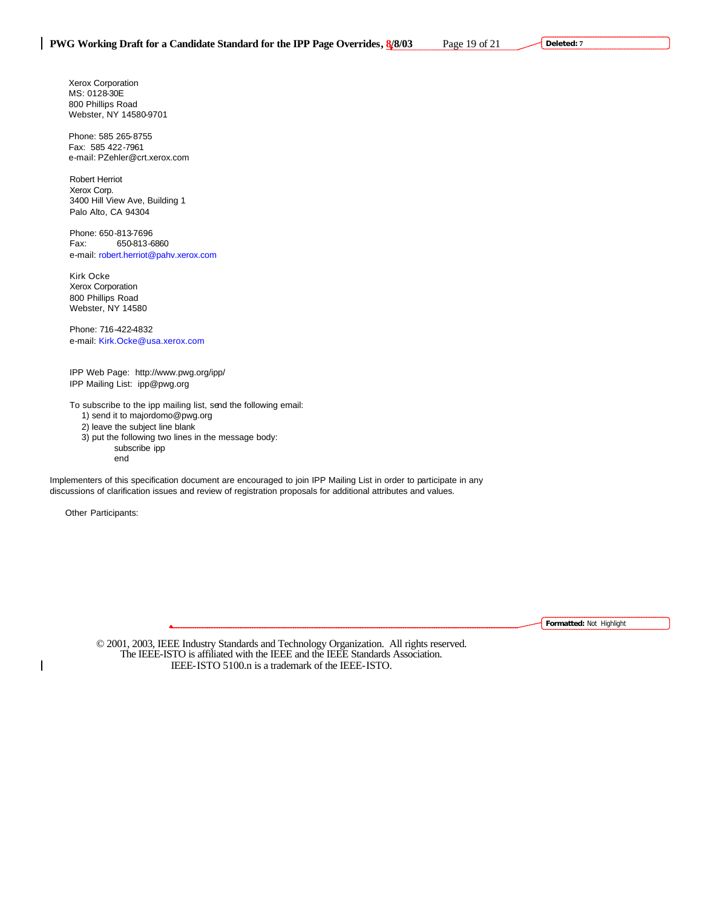Xerox Corporation MS: 0128-30E 800 Phillips Road Webster, NY 14580-9701

Phone: 585 265-8755 Fax: 585 422-7961 e-mail: PZehler@crt.xerox.com

Robert Herriot Xerox Corp. 3400 Hill View Ave, Building 1 Palo Alto, CA 94304

Phone: 650-813-7696 Fax: 650-813-6860 e-mail: robert.herriot@pahv.xerox.com

Kirk Ocke Xerox Corporation 800 Phillips Road Webster, NY 14580

Phone: 716-422-4832 e-mail: Kirk.Ocke@usa.xerox.com

IPP Web Page: http://www.pwg.org/ipp/ IPP Mailing List: ipp@pwg.org

To subscribe to the ipp mailing list, send the following email: 1) send it to majordomo@pwg.org 2) leave the subject line blank 3) put the following two lines in the message body:

subscribe ipp

end

Implementers of this specification document are encouraged to join IPP Mailing List in order to participate in any discussions of clarification issues and review of registration proposals for additional attributes and values.

Other Participants:

 $\overline{\phantom{a}}$ 

**Formatted:** Not Highlight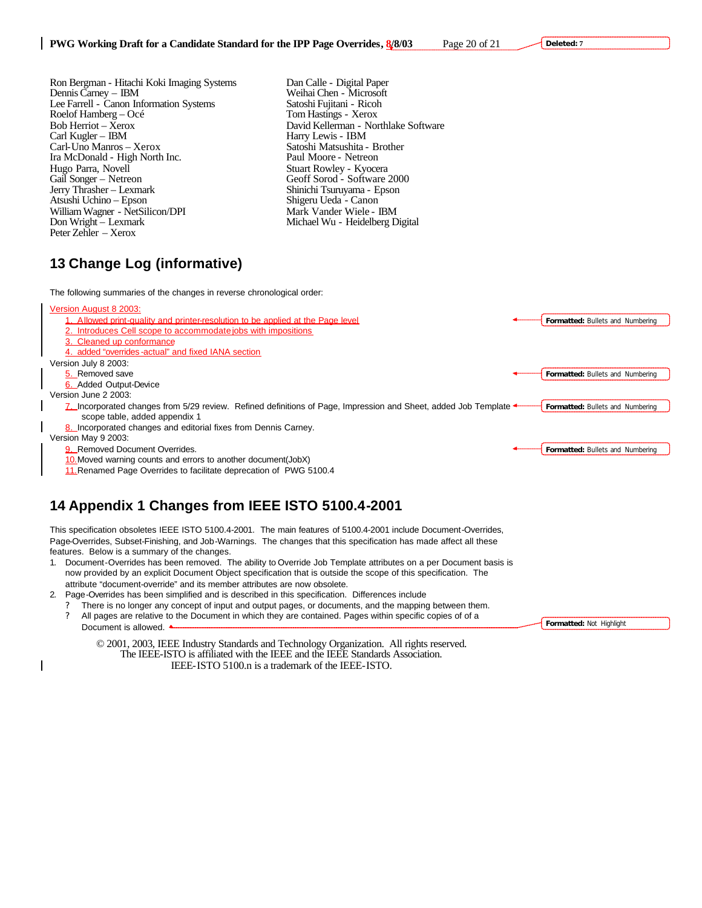**Deleted: 7**

**Formatted:** Not Highlight

- Ron Bergman Hitachi Koki Imaging Systems Dan Calle Digital Paper Dennis Carney IBM Weihai Chen Microsoft Lee Farrell - Canon Information Systems Satoshi Fujitani - Ricol<br>Roelof Hamberg – Océ Tom Hastings - Xerox Roelof Hamberg – Océ<br>Bob Herriot – Xerox Bob Herriot – Xerox David Kellerman - Northlake Software<br>Carl Kugler – IBM Harry Lewis - IBM Carl-Uno Manros – Xerox Satoshi Matsushita - Brother Ira McDonald - High North Inc. Hugo Parra, Novell Stuart Rowley - Kyocera<br>
Gail Songer – Netreon Geoff Sorod - Software Jerry Thrasher – Lexmark Shinichi Tsuruyama - Epson Atsushi Uchino - Epson William Wagner - NetSilicon/DPI Mark Vander Wiele - IBM<br>
Don Wright – Lexmark Michael Wu - Heidelberg D Peter Zehler – Xerox
	- Weihai Chen Microsoft<br>Satoshi Fujitani Ricoh Harry Lewis - IBM Geoff Sorod - Software 2000 Michael Wu - Heidelberg Digital

# **13 Change Log (informative)**

The following summaries of the changes in reverse chronological order:

Version August 8 2003:



11.Renamed Page Overrides to facilitate deprecation of PWG 5100.4

# **14 Appendix 1 Changes from IEEE ISTO 5100.4-2001**

This specification obsoletes IEEE ISTO 5100.4-2001. The main features of 5100.4-2001 include Document-Overrides, Page-Overrides, Subset-Finishing, and Job-Warnings. The changes that this specification has made affect all these features. Below is a summary of the changes.

- 1. Document-Overrides has been removed. The ability to Override Job Template attributes on a per Document basis is now provided by an explicit Document Object specification that is outside the scope of this specification. The attribute "document-override" and its member attributes are now obsolete.
- 2. Page-Overrides has been simplified and is described in this specification. Differences include
	- There is no longer any concept of input and output pages, or documents, and the mapping between them. ? All pages are relative to the Document in which they are contained. Pages within specific copies of of a Document is allowed.  $\triangle$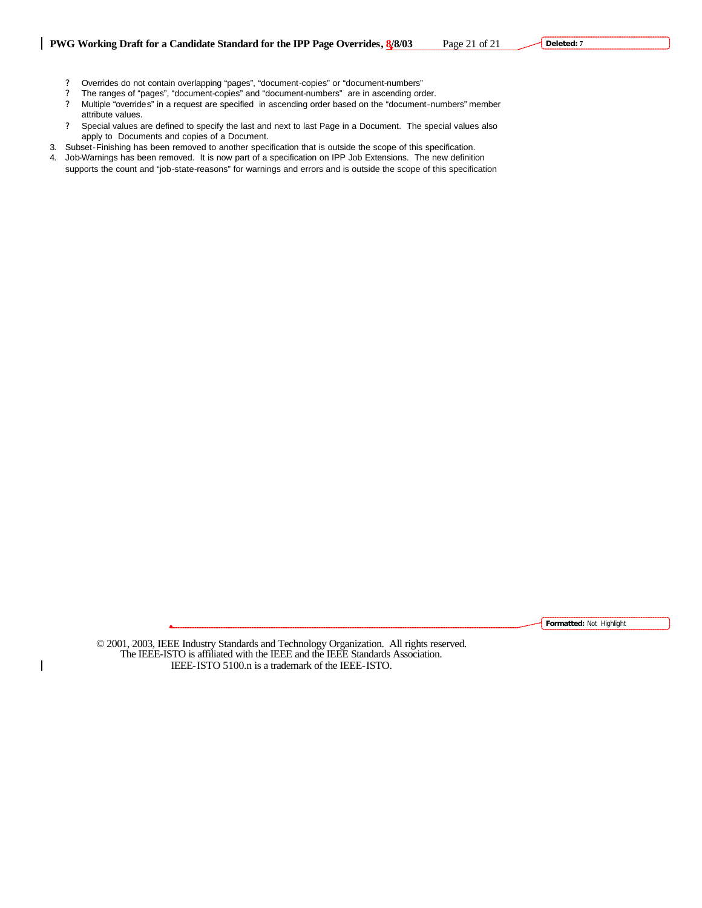**Deleted: 7**

- ? Overrides do not contain overlapping "pages", "document-copies" or "document-numbers"
- ? The ranges of "pages", "document-copies" and "document-numbers" are in ascending order.
- ? Multiple "overrides" in a request are specified in ascending order based on the "document-numbers" member attribute values.
- ? Special values are defined to specify the last and next to last Page in a Document. The special values also apply to Documents and copies of a Document.
- 3. Subset-Finishing has been removed to another specification that is outside the scope of this specification.
- 4. Job-Warnings has been removed. It is now part of a specification on IPP Job Extensions. The new definition supports the count and "job-state-reasons" for warnings and errors and is outside the scope of this specification

**Formatted:** Not Highlight

© 2001, 2003, IEEE Industry Standards and Technology Organization. All rights reserved. The IEEE-ISTO is affiliated with the IEEE and the IEEE Standards Association. IEEE-ISTO 5100.n is a trademark of the IEEE-ISTO.

 $\overline{\phantom{a}}$